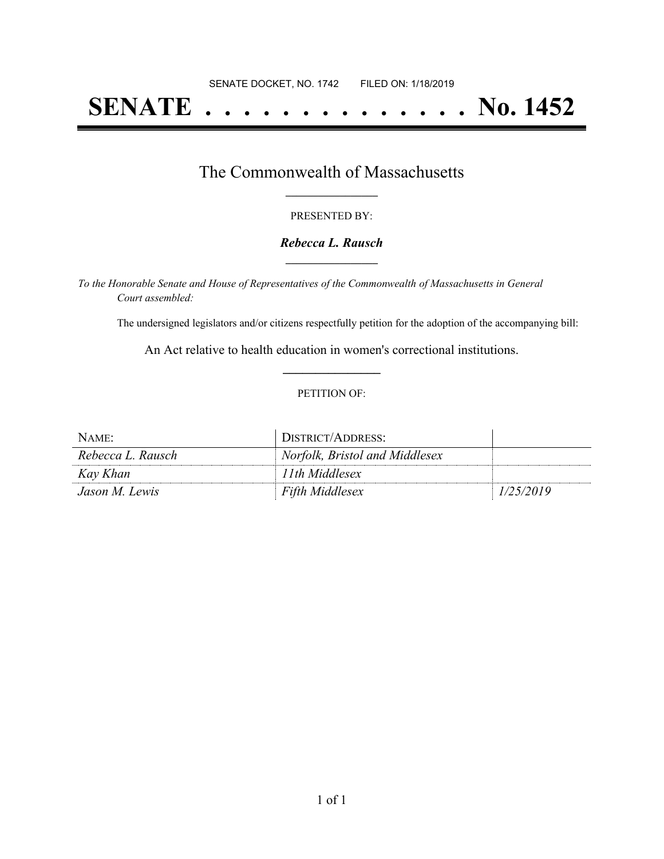# **SENATE . . . . . . . . . . . . . . No. 1452**

### The Commonwealth of Massachusetts **\_\_\_\_\_\_\_\_\_\_\_\_\_\_\_\_\_**

#### PRESENTED BY:

#### *Rebecca L. Rausch* **\_\_\_\_\_\_\_\_\_\_\_\_\_\_\_\_\_**

*To the Honorable Senate and House of Representatives of the Commonwealth of Massachusetts in General Court assembled:*

The undersigned legislators and/or citizens respectfully petition for the adoption of the accompanying bill:

An Act relative to health education in women's correctional institutions. **\_\_\_\_\_\_\_\_\_\_\_\_\_\_\_**

#### PETITION OF:

| NAME:             | DISTRICT/ADDRESS:              |           |
|-------------------|--------------------------------|-----------|
| Rebecca L. Rausch | Norfolk, Bristol and Middlesex |           |
| Kay Khan          | 11th Middlesex                 |           |
| Jason M. Lewis    | <b>Fifth Middlesex</b>         | 1/25/2019 |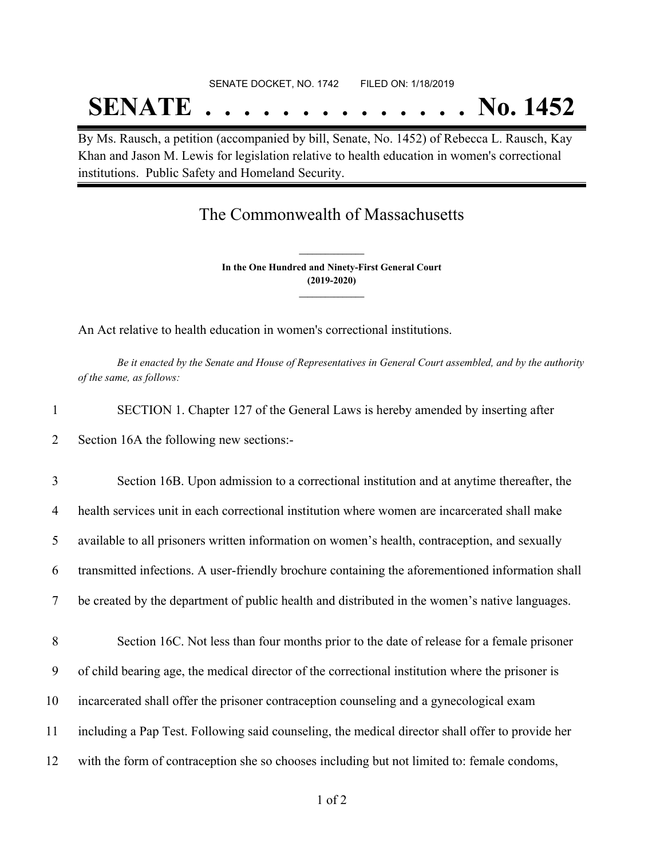# SENATE DOCKET, NO. 1742 FILED ON: 1/18/2019 **SENATE . . . . . . . . . . . . . . No. 1452**

By Ms. Rausch, a petition (accompanied by bill, Senate, No. 1452) of Rebecca L. Rausch, Kay Khan and Jason M. Lewis for legislation relative to health education in women's correctional institutions. Public Safety and Homeland Security.

## The Commonwealth of Massachusetts

**In the One Hundred and Ninety-First General Court (2019-2020) \_\_\_\_\_\_\_\_\_\_\_\_\_\_\_**

**\_\_\_\_\_\_\_\_\_\_\_\_\_\_\_**

An Act relative to health education in women's correctional institutions.

Be it enacted by the Senate and House of Representatives in General Court assembled, and by the authority *of the same, as follows:*

| SECTION 1. Chapter 127 of the General Laws is hereby amended by inserting after          |
|------------------------------------------------------------------------------------------|
| Section 16A the following new sections:-                                                 |
| Section 16B. Upon admission to a correctional institution and at anytime thereafter, the |

 health services unit in each correctional institution where women are incarcerated shall make available to all prisoners written information on women's health, contraception, and sexually transmitted infections. A user-friendly brochure containing the aforementioned information shall be created by the department of public health and distributed in the women's native languages. Section 16C. Not less than four months prior to the date of release for a female prisoner of child bearing age, the medical director of the correctional institution where the prisoner is incarcerated shall offer the prisoner contraception counseling and a gynecological exam

11 including a Pap Test. Following said counseling, the medical director shall offer to provide her

12 with the form of contraception she so chooses including but not limited to: female condoms,